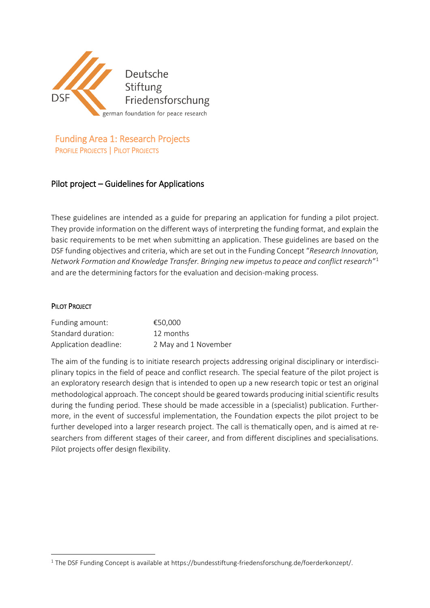

Funding Area 1: Research Projects PROFILE PROJECTS | PILOT PROJECTS

# Pilot project – Guidelines for Applications

These guidelines are intended as a guide for preparing an application for funding a pilot project. They provide information on the different ways of interpreting the funding format, and explain the basic requirements to be met when submitting an application. These guidelines are based on the DSF funding objectives and criteria, which are set out in the Funding Concept "*Research Innovation, Network Formation and Knowledge Transfer. Bringing new impetus to peace and conflict research*" 1 and are the determining factors for the evaluation and decision-making process.

#### PILOT PROJECT

**.** 

| Funding amount:       | €50.000              |
|-----------------------|----------------------|
| Standard duration:    | 12 months            |
| Application deadline: | 2 May and 1 November |

The aim of the funding is to initiate research projects addressing original disciplinary or interdisciplinary topics in the field of peace and conflict research. The special feature of the pilot project is an exploratory research design that is intended to open up a new research topic or test an original methodological approach. The concept should be geared towards producing initial scientific results during the funding period. These should be made accessible in a (specialist) publication. Furthermore, in the event of successful implementation, the Foundation expects the pilot project to be further developed into a larger research project. The call is thematically open, and is aimed at researchers from different stages of their career, and from different disciplines and specialisations. Pilot projects offer design flexibility.

<sup>1</sup> The DSF Funding Concept is available at https://bundesstiftung-friedensforschung.de/foerderkonzept/.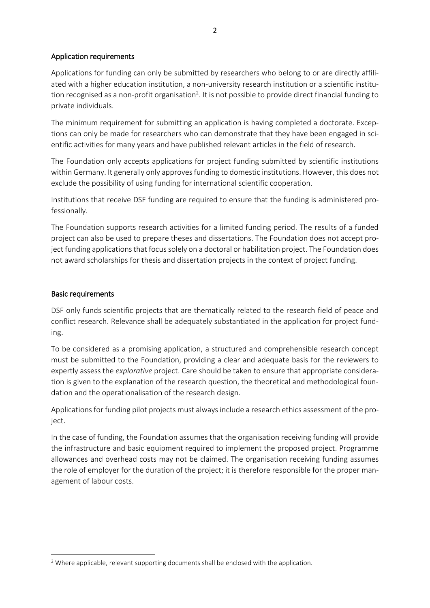# Application requirements

Applications for funding can only be submitted by researchers who belong to or are directly affiliated with a higher education institution, a non-university research institution or a scientific institution recognised as a non-profit organisation<sup>2</sup>. It is not possible to provide direct financial funding to private individuals.

The minimum requirement for submitting an application is having completed a doctorate. Exceptions can only be made for researchers who can demonstrate that they have been engaged in scientific activities for many years and have published relevant articles in the field of research.

The Foundation only accepts applications for project funding submitted by scientific institutions within Germany. It generally only approves funding to domestic institutions. However, this does not exclude the possibility of using funding for international scientific cooperation.

Institutions that receive DSF funding are required to ensure that the funding is administered professionally.

The Foundation supports research activities for a limited funding period. The results of a funded project can also be used to prepare theses and dissertations. The Foundation does not accept project funding applications that focus solely on a doctoral or habilitation project. The Foundation does not award scholarships for thesis and dissertation projects in the context of project funding.

# Basic requirements

**.** 

DSF only funds scientific projects that are thematically related to the research field of peace and conflict research. Relevance shall be adequately substantiated in the application for project funding.

To be considered as a promising application, a structured and comprehensible research concept must be submitted to the Foundation, providing a clear and adequate basis for the reviewers to expertly assess the *explorative* project. Care should be taken to ensure that appropriate consideration is given to the explanation of the research question, the theoretical and methodological foundation and the operationalisation of the research design.

Applications for funding pilot projects must always include a research ethics assessment of the project.

In the case of funding, the Foundation assumes that the organisation receiving funding will provide the infrastructure and basic equipment required to implement the proposed project. Programme allowances and overhead costs may not be claimed. The organisation receiving funding assumes the role of employer for the duration of the project; it is therefore responsible for the proper management of labour costs.

<sup>&</sup>lt;sup>2</sup> Where applicable, relevant supporting documents shall be enclosed with the application.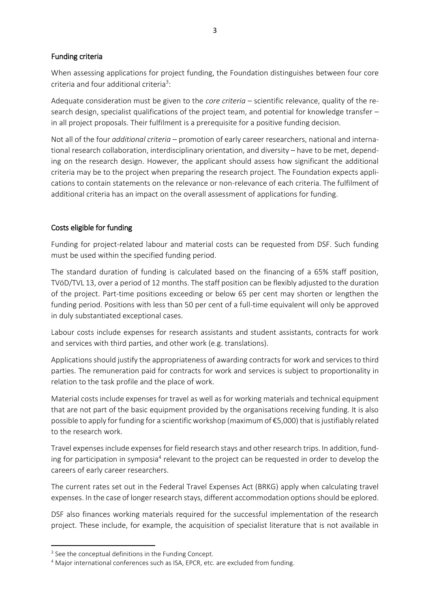### Funding criteria

When assessing applications for project funding, the Foundation distinguishes between four core criteria and four additional criteria<sup>3</sup>:

Adequate consideration must be given to the *core criteria* – scientific relevance, quality of the research design, specialist qualifications of the project team, and potential for knowledge transfer – in all project proposals. Their fulfilment is a prerequisite for a positive funding decision.

Not all of the four *additional criteria* – promotion of early career researchers, national and international research collaboration, interdisciplinary orientation, and diversity – have to be met, depending on the research design. However, the applicant should assess how significant the additional criteria may be to the project when preparing the research project. The Foundation expects applications to contain statements on the relevance or non-relevance of each criteria. The fulfilment of additional criteria has an impact on the overall assessment of applications for funding.

# Costs eligible for funding

Funding for project-related labour and material costs can be requested from DSF. Such funding must be used within the specified funding period.

The standard duration of funding is calculated based on the financing of a 65% staff position, TVöD/TVL 13, over a period of 12 months. The staff position can be flexibly adjusted to the duration of the project. Part-time positions exceeding or below 65 per cent may shorten or lengthen the funding period. Positions with less than 50 per cent of a full-time equivalent will only be approved in duly substantiated exceptional cases.

Labour costs include expenses for research assistants and student assistants, contracts for work and services with third parties, and other work (e.g. translations).

Applications should justify the appropriateness of awarding contracts for work and services to third parties. The remuneration paid for contracts for work and services is subject to proportionality in relation to the task profile and the place of work.

Material costs include expenses for travel as well as for working materials and technical equipment that are not part of the basic equipment provided by the organisations receiving funding. It is also possible to apply for funding for a scientific workshop (maximum of €5,000) that is justifiably related to the research work.

Travel expenses include expenses for field research stays and other research trips. In addition, funding for participation in symposia<sup>4</sup> relevant to the project can be requested in order to develop the careers of early career researchers.

The current rates set out in the Federal Travel Expenses Act (BRKG) apply when calculating travel expenses. In the case of longer research stays, different accommodation options should be eplored.

DSF also finances working materials required for the successful implementation of the research project. These include, for example, the acquisition of specialist literature that is not available in

1

<sup>&</sup>lt;sup>3</sup> See the conceptual definitions in the Funding Concept.

<sup>&</sup>lt;sup>4</sup> Major international conferences such as ISA, EPCR, etc. are excluded from funding.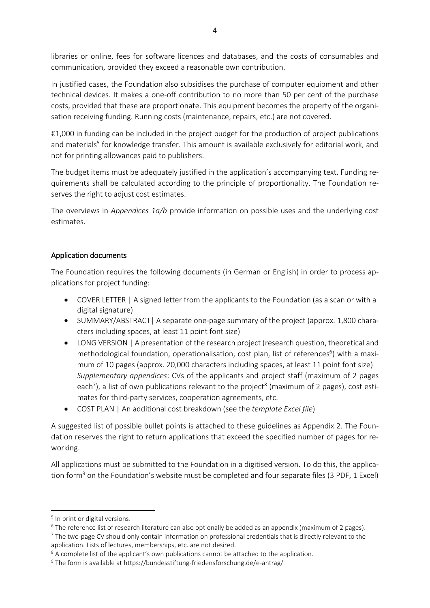libraries or online, fees for software licences and databases, and the costs of consumables and communication, provided they exceed a reasonable own contribution.

In justified cases, the Foundation also subsidises the purchase of computer equipment and other technical devices. It makes a one-off contribution to no more than 50 per cent of the purchase costs, provided that these are proportionate. This equipment becomes the property of the organisation receiving funding. Running costs (maintenance, repairs, etc.) are not covered.

€1,000 in funding can be included in the project budget for the production of project publications and materials<sup>5</sup> for knowledge transfer. This amount is available exclusively for editorial work, and not for printing allowances paid to publishers.

The budget items must be adequately justified in the application's accompanying text. Funding requirements shall be calculated according to the principle of proportionality. The Foundation reserves the right to adjust cost estimates.

The overviews in *Appendices 1a/b* provide information on possible uses and the underlying cost estimates.

# Application documents

The Foundation requires the following documents (in German or English) in order to process applications for project funding:

- COVER LETTER | A signed letter from the applicants to the Foundation (as a scan or with a digital signature)
- SUMMARY/ABSTRACT| A separate one-page summary of the project (approx. 1,800 characters including spaces, at least 11 point font size)
- LONG VERSION | A presentation of the research project (research question, theoretical and methodological foundation, operationalisation, cost plan, list of references<sup>6</sup>) with a maximum of 10 pages (approx. 20,000 characters including spaces, at least 11 point font size) *Supplementary appendices*: CVs of the applicants and project staff (maximum of 2 pages each<sup>7</sup>), a list of own publications relevant to the project<sup>8</sup> (maximum of 2 pages), cost estimates for third-party services, cooperation agreements, etc.
- COST PLAN | An additional cost breakdown (see the *template Excel file*)

A suggested list of possible bullet points is attached to these guidelines as Appendix 2. The Foundation reserves the right to return applications that exceed the specified number of pages for reworking.

All applications must be submitted to the Foundation in a digitised version. To do this, the application form<sup>9</sup> on the Foundation's website must be completed and four separate files (3 PDF, 1 Excel)

**.** 

<sup>&</sup>lt;sup>5</sup> In print or digital versions.

<sup>&</sup>lt;sup>6</sup> The reference list of research literature can also optionally be added as an appendix (maximum of 2 pages).

<sup>&</sup>lt;sup>7</sup> The two-page CV should only contain information on professional credentials that is directly relevant to the application. Lists of lectures, memberships, etc. are not desired.

<sup>&</sup>lt;sup>8</sup> A complete list of the applicant's own publications cannot be attached to the application.

<sup>&</sup>lt;sup>9</sup> The form is available at https://bundesstiftung-friedensforschung.de/e-antrag/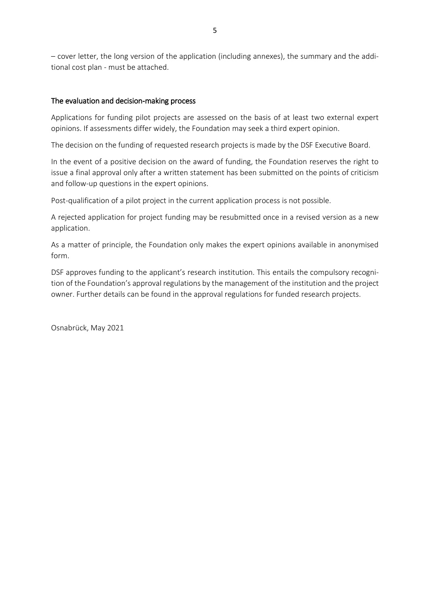– cover letter, the long version of the application (including annexes), the summary and the additional cost plan - must be attached.

# The evaluation and decision-making process

Applications for funding pilot projects are assessed on the basis of at least two external expert opinions. If assessments differ widely, the Foundation may seek a third expert opinion.

The decision on the funding of requested research projects is made by the DSF Executive Board.

In the event of a positive decision on the award of funding, the Foundation reserves the right to issue a final approval only after a written statement has been submitted on the points of criticism and follow-up questions in the expert opinions.

Post-qualification of a pilot project in the current application process is not possible.

A rejected application for project funding may be resubmitted once in a revised version as a new application.

As a matter of principle, the Foundation only makes the expert opinions available in anonymised form.

DSF approves funding to the applicant's research institution. This entails the compulsory recognition of the Foundation's approval regulations by the management of the institution and the project owner. Further details can be found in the approval regulations for funded research projects.

Osnabrück, May 2021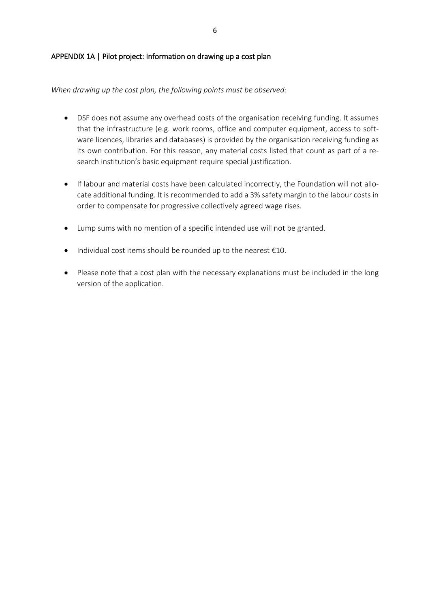### APPENDIX 1A | Pilot project: Information on drawing up a cost plan

*When drawing up the cost plan, the following points must be observed:*

- DSF does not assume any overhead costs of the organisation receiving funding. It assumes that the infrastructure (e.g. work rooms, office and computer equipment, access to software licences, libraries and databases) is provided by the organisation receiving funding as its own contribution. For this reason, any material costs listed that count as part of a research institution's basic equipment require special justification.
- If labour and material costs have been calculated incorrectly, the Foundation will not allocate additional funding. It is recommended to add a 3% safety margin to the labour costs in order to compensate for progressive collectively agreed wage rises.
- Lump sums with no mention of a specific intended use will not be granted.
- $\bullet$  Individual cost items should be rounded up to the nearest  $\epsilon$ 10.
- Please note that a cost plan with the necessary explanations must be included in the long version of the application.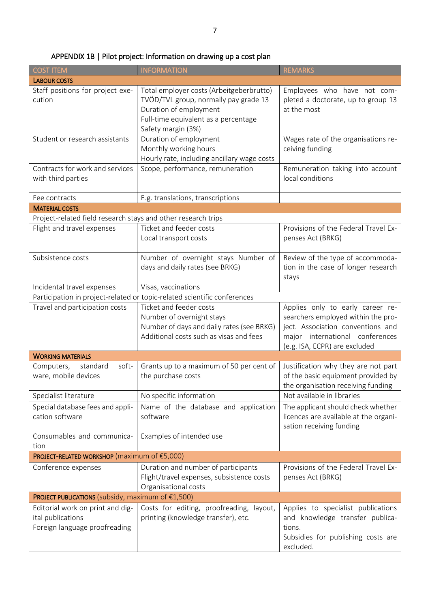| <b>COST ITEM</b>                                                                       | <b>INFORMATION</b>                                                                                                                                                        | <b>REMARKS</b>                                                                                                                                                                  |
|----------------------------------------------------------------------------------------|---------------------------------------------------------------------------------------------------------------------------------------------------------------------------|---------------------------------------------------------------------------------------------------------------------------------------------------------------------------------|
| <b>LABOUR COSTS</b>                                                                    |                                                                                                                                                                           |                                                                                                                                                                                 |
| Staff positions for project exe-<br>cution                                             | Total employer costs (Arbeitgeberbrutto)<br>TVÖD/TVL group, normally pay grade 13<br>Duration of employment<br>Full-time equivalent as a percentage<br>Safety margin (3%) | Employees who have not com-<br>pleted a doctorate, up to group 13<br>at the most                                                                                                |
| Student or research assistants                                                         | Duration of employment<br>Monthly working hours<br>Hourly rate, including ancillary wage costs                                                                            | Wages rate of the organisations re-<br>ceiving funding                                                                                                                          |
| Contracts for work and services<br>with third parties                                  | Scope, performance, remuneration                                                                                                                                          | Remuneration taking into account<br>local conditions                                                                                                                            |
| Fee contracts                                                                          | E.g. translations, transcriptions                                                                                                                                         |                                                                                                                                                                                 |
| <b>MATERIAL COSTS</b>                                                                  |                                                                                                                                                                           |                                                                                                                                                                                 |
| Project-related field research stays and other research trips                          |                                                                                                                                                                           |                                                                                                                                                                                 |
| Flight and travel expenses                                                             | Ticket and feeder costs<br>Local transport costs                                                                                                                          | Provisions of the Federal Travel Ex-<br>penses Act (BRKG)                                                                                                                       |
| Subsistence costs                                                                      | Number of overnight stays Number of<br>days and daily rates (see BRKG)                                                                                                    | Review of the type of accommoda-<br>tion in the case of longer research<br>stays                                                                                                |
| Incidental travel expenses                                                             | Visas, vaccinations                                                                                                                                                       |                                                                                                                                                                                 |
| Participation in project-related or topic-related scientific conferences               |                                                                                                                                                                           |                                                                                                                                                                                 |
| Travel and participation costs                                                         | Ticket and feeder costs<br>Number of overnight stays<br>Number of days and daily rates (see BRKG)<br>Additional costs such as visas and fees                              | Applies only to early career re-<br>searchers employed within the pro-<br>ject. Association conventions and<br>major international conferences<br>(e.g. ISA, ECPR) are excluded |
| <b>WORKING MATERIALS</b>                                                               |                                                                                                                                                                           |                                                                                                                                                                                 |
| soft-<br>Computers,<br>standard<br>ware, mobile devices                                | Grants up to a maximum of 50 per cent of<br>the purchase costs                                                                                                            | Justification why they are not part<br>of the basic equipment provided by<br>the organisation receiving funding                                                                 |
| Specialist literature                                                                  | No specific information                                                                                                                                                   | Not available in libraries                                                                                                                                                      |
| Special database fees and appli-<br>cation software                                    | Name of the database and application<br>software                                                                                                                          | The applicant should check whether<br>licences are available at the organi-<br>sation receiving funding                                                                         |
| Consumables and communica-<br>tion                                                     | Examples of intended use                                                                                                                                                  |                                                                                                                                                                                 |
| PROJECT-RELATED WORKSHOP (maximum of €5,000)                                           |                                                                                                                                                                           |                                                                                                                                                                                 |
| Conference expenses                                                                    | Duration and number of participants<br>Flight/travel expenses, subsistence costs<br>Organisational costs                                                                  | Provisions of the Federal Travel Ex-<br>penses Act (BRKG)                                                                                                                       |
| PROJECT PUBLICATIONS (subsidy, maximum of €1,500)                                      |                                                                                                                                                                           |                                                                                                                                                                                 |
| Editorial work on print and dig-<br>ital publications<br>Foreign language proofreading | Costs for editing, proofreading, layout,<br>printing (knowledge transfer), etc.                                                                                           | Applies to specialist publications<br>and knowledge transfer publica-<br>tions.<br>Subsidies for publishing costs are<br>excluded.                                              |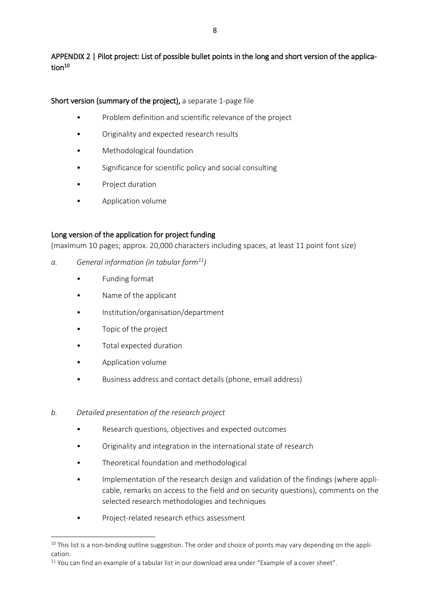APPENDIX 2 | Pilot project: List of possible bullet points in the long and short version of the application<sup>10</sup>

Short version (summary of the project), a separate 1-page file

- Problem definition and scientific relevance of the project
- Originality and expected research results
- Methodological foundation
- Significance for scientific policy and social consulting
- Project duration
- Application volume

# Long version of the application for project funding

(maximum 10 pages; approx. 20,000 characters including spaces, at least 11 point font size)

- *a. General information (in tabular form<sup>11</sup>)*
	- Funding format
	- Name of the applicant
	- Institution/organisation/department
	- Topic of the project
	- Total expected duration
	- Application volume

**.** 

- Business address and contact details (phone, email address)
- *b. Detailed presentation of the research project*
	- Research questions, objectives and expected outcomes
	- Originality and integration in the international state of research
	- Theoretical foundation and methodological
	- Implementation of the research design and validation of the findings (where applicable, remarks on access to the field and on security questions), comments on the selected research methodologies and techniques
	- Project-related research ethics assessment

 $10$  This list is a non-binding outline suggestion. The order and choice of points may vary depending on the application.

<sup>&</sup>lt;sup>11</sup> You can find an example of a tabular list in our download area under "Example of a cover sheet".